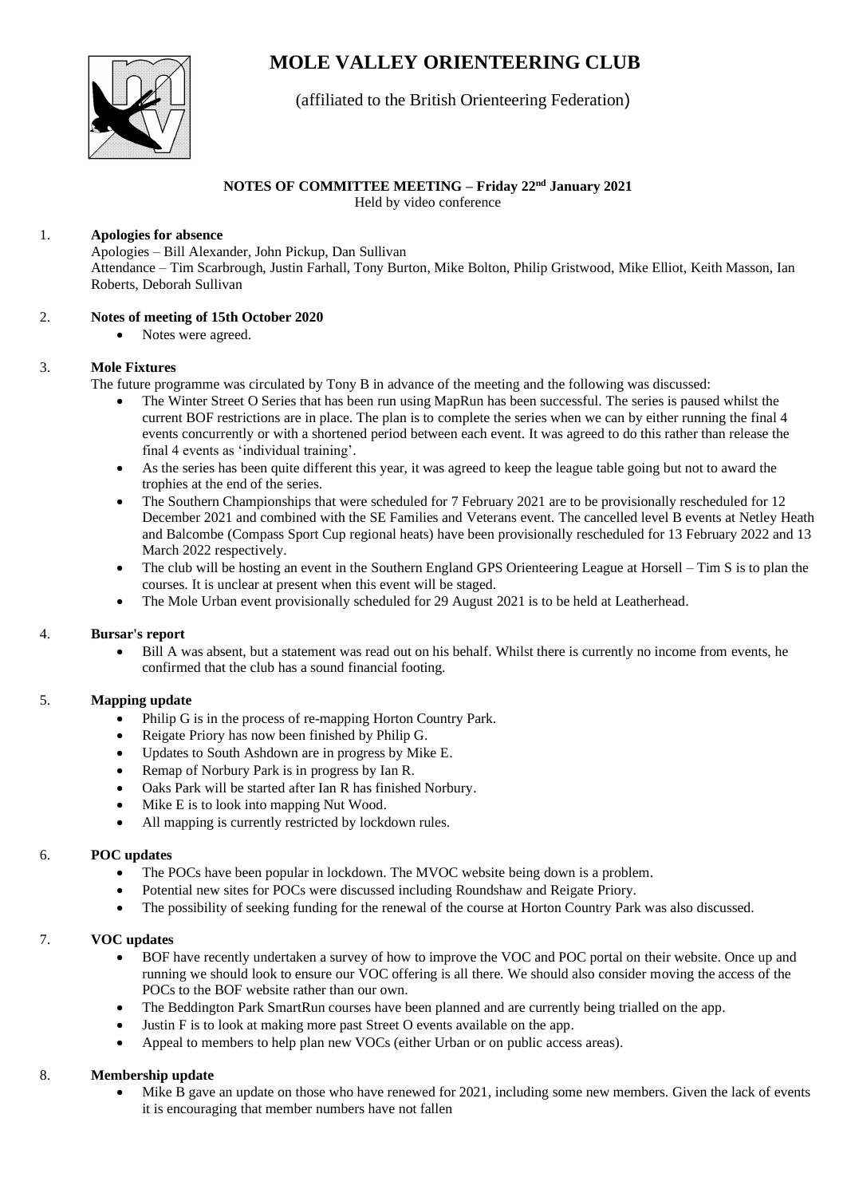# **MOLE VALLEY ORIENTEERING CLUB**



# (affiliated to the British Orienteering Federation)

# **NOTES OF COMMITTEE MEETING – Friday 22nd January 2021**

Held by video conference

#### 1. **Apologies for absence**

Apologies – Bill Alexander, John Pickup, Dan Sullivan Attendance – Tim Scarbrough, Justin Farhall, Tony Burton, Mike Bolton, Philip Gristwood, Mike Elliot, Keith Masson, Ian Roberts, Deborah Sullivan

#### 2. **Notes of meeting of 15th October 2020**

• Notes were agreed.

#### 3. **Mole Fixtures**

The future programme was circulated by Tony B in advance of the meeting and the following was discussed:

- The Winter Street O Series that has been run using MapRun has been successful. The series is paused whilst the current BOF restrictions are in place. The plan is to complete the series when we can by either running the final 4 events concurrently or with a shortened period between each event. It was agreed to do this rather than release the final 4 events as 'individual training'.
- As the series has been quite different this year, it was agreed to keep the league table going but not to award the trophies at the end of the series.
- The Southern Championships that were scheduled for 7 February 2021 are to be provisionally rescheduled for 12 December 2021 and combined with the SE Families and Veterans event. The cancelled level B events at Netley Heath and Balcombe (Compass Sport Cup regional heats) have been provisionally rescheduled for 13 February 2022 and 13 March 2022 respectively.
- The club will be hosting an event in the Southern England GPS Orienteering League at Horsell Tim S is to plan the courses. It is unclear at present when this event will be staged.
- The Mole Urban event provisionally scheduled for 29 August 2021 is to be held at Leatherhead.

# 4. **Bursar's report**

• Bill A was absent, but a statement was read out on his behalf. Whilst there is currently no income from events, he confirmed that the club has a sound financial footing.

# 5. **Mapping update**

- Philip G is in the process of re-mapping Horton Country Park.
- Reigate Priory has now been finished by Philip G.
- Updates to South Ashdown are in progress by Mike E.
- Remap of Norbury Park is in progress by Ian R.
- Oaks Park will be started after Ian R has finished Norbury.
- Mike E is to look into mapping Nut Wood.
- All mapping is currently restricted by lockdown rules.

# 6. **POC updates**

- The POCs have been popular in lockdown. The MVOC website being down is a problem.
- Potential new sites for POCs were discussed including Roundshaw and Reigate Priory.
- The possibility of seeking funding for the renewal of the course at Horton Country Park was also discussed.

# 7. **VOC updates**

- BOF have recently undertaken a survey of how to improve the VOC and POC portal on their website. Once up and running we should look to ensure our VOC offering is all there. We should also consider moving the access of the POCs to the BOF website rather than our own.
- The Beddington Park SmartRun courses have been planned and are currently being trialled on the app.
- Justin F is to look at making more past Street O events available on the app.
- Appeal to members to help plan new VOCs (either Urban or on public access areas).

# 8. **Membership update**

Mike B gave an update on those who have renewed for 2021, including some new members. Given the lack of events it is encouraging that member numbers have not fallen